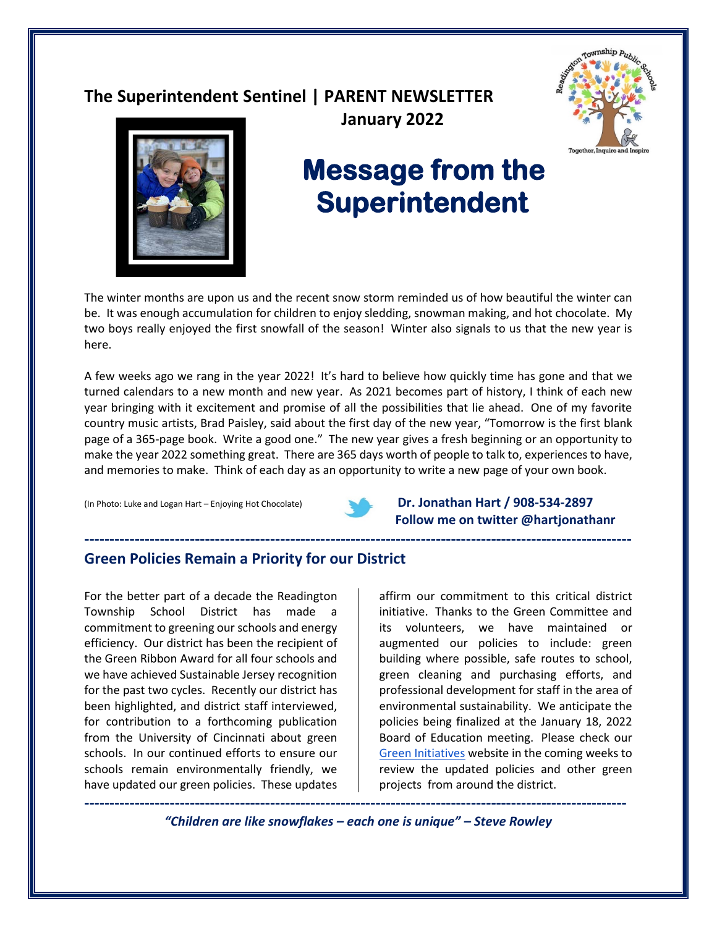# **The Superintendent Sentinel | PARENT NEWSLETTER**





# **Message from the Superintendent**

 **January 2022**

The winter months are upon us and the recent snow storm reminded us of how beautiful the winter can be. It was enough accumulation for children to enjoy sledding, snowman making, and hot chocolate. My two boys really enjoyed the first snowfall of the season! Winter also signals to us that the new year is here.

A few weeks ago we rang in the year 2022! It's hard to believe how quickly time has gone and that we turned calendars to a new month and new year. As 2021 becomes part of history, I think of each new year bringing with it excitement and promise of all the possibilities that lie ahead. One of my favorite country music artists, Brad Paisley, said about the first day of the new year, "Tomorrow is the first blank page of a 365-page book. Write a good one." The new year gives a fresh beginning or an opportunity to make the year 2022 something great. There are 365 days worth of people to talk to, experiences to have, and memories to make. Think of each day as an opportunity to write a new page of your own book.



**-------------------------------------------------------------------------------------------------------------**

(In Photo: Luke and Logan Hart – Enjoying Hot Chocolate) **Dr. Jonathan Hart / 908-534-2897 Follow me on twitter @hartjonathanr** 

## **Green Policies Remain a Priority for our District**

For the better part of a decade the Readington Township School District has made a commitment to greening our schools and energy efficiency. Our district has been the recipient of the Green Ribbon Award for all four schools and we have achieved Sustainable Jersey recognition for the past two cycles. Recently our district has been highlighted, and district staff interviewed, for contribution to a forthcoming publication from the University of Cincinnati about green schools. In our continued efforts to ensure our schools remain environmentally friendly, we have updated our green policies. These updates

affirm our commitment to this critical district initiative. Thanks to the Green Committee and its volunteers, we have maintained or augmented our policies to include: green building where possible, safe routes to school, green cleaning and purchasing efforts, and professional development for staff in the area of environmental sustainability. We anticipate the policies being finalized at the January 18, 2022 Board of Education meeting. Please check our [Green Initiatives](https://www.readington.k12.nj.us/Page/3522) website in the coming weeks to review the updated policies and other green projects from around the district.

**------------------------------------------------------------------------------------------------------------** *"Children are like snowflakes – each one is unique" – Steve Rowley*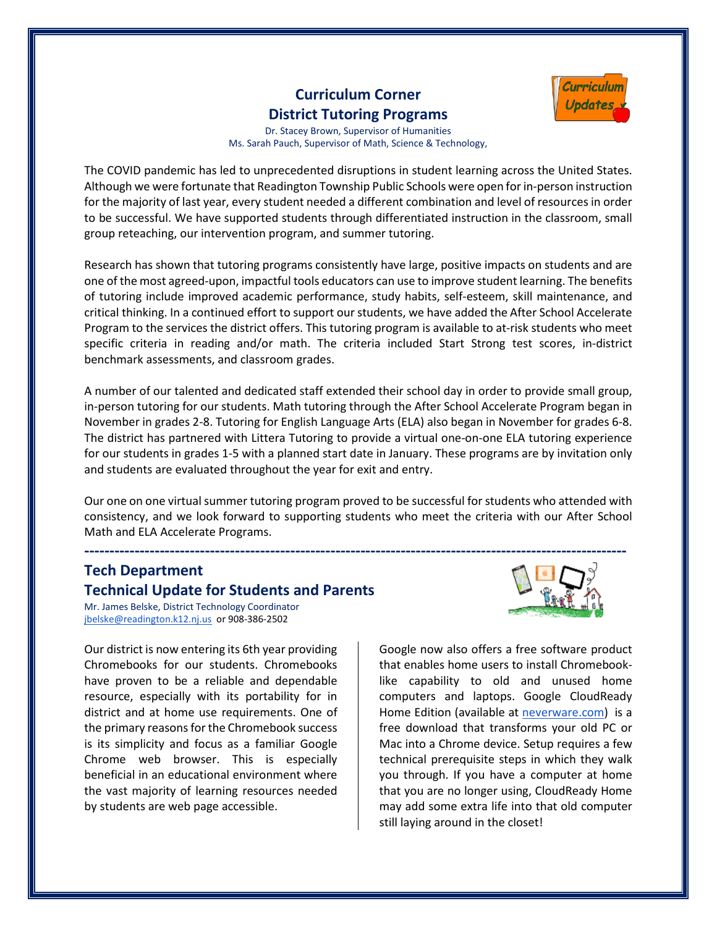## **Curriculum Corner District Tutoring Programs**



Dr. Stacey Brown, Supervisor of Humanities Ms. Sarah Pauch, Supervisor of Math, Science & Technology,

The COVID pandemic has led to unprecedented disruptions in student learning across the United States. Although we were fortunate that Readington Township Public Schools were open for in-person instruction for the majority of last year, every student needed a different combination and level of resources in order to be successful. We have supported students through differentiated instruction in the classroom, small group reteaching, our intervention program, and summer tutoring.

Research has shown that tutoring programs consistently have large, positive impacts on students and are one of the most agreed-upon, impactful tools educators can use to improve student learning. The benefits of tutoring include improved academic performance, study habits, self-esteem, skill maintenance, and critical thinking. In a continued effort to support our students, we have added the After School Accelerate Program to the services the district offers. This tutoring program is available to at-risk students who meet specific criteria in reading and/or math. The criteria included Start Strong test scores, in-district benchmark assessments, and classroom grades.

A number of our talented and dedicated staff extended their school day in order to provide small group, in-person tutoring for our students. Math tutoring through the After School Accelerate Program began in November in grades 2-8. Tutoring for English Language Arts (ELA) also began in November for grades 6-8. The district has partnered with Littera Tutoring to provide a virtual one-on-one ELA tutoring experience for our students in grades 1-5 with a planned start date in January. These programs are by invitation only and students are evaluated throughout the year for exit and entry.

Our one on one virtual summer tutoring program proved to be successful for students who attended with consistency, and we look forward to supporting students who meet the criteria with our After School Math and ELA Accelerate Programs.

## **Tech Department Technical Update for Students and Parents**

Mr. James Belske, District Technology Coordinator [jbelske@readington.k12.nj.us](mailto:jbelske@readington.k12.nj.us) or 908-386-2502

Our district is now entering its 6th year providing Chromebooks for our students. Chromebooks have proven to be a reliable and dependable resource, especially with its portability for in district and at home use requirements. One of the primary reasons for the Chromebook success is its simplicity and focus as a familiar Google Chrome web browser. This is especially beneficial in an educational environment where the vast majority of learning resources needed by students are web page accessible.



Google now also offers a free software product that enables home users to install Chromebooklike capability to old and unused home computers and laptops. Google CloudReady Home Edition (available at [neverware.com\)](https://www.neverware.com/freedownload#intro-text) is a free download that transforms your old PC or Mac into a Chrome device. Setup requires a few technical prerequisite steps in which they walk you through. If you have a computer at home that you are no longer using, CloudReady Home may add some extra life into that old computer still laying around in the closet!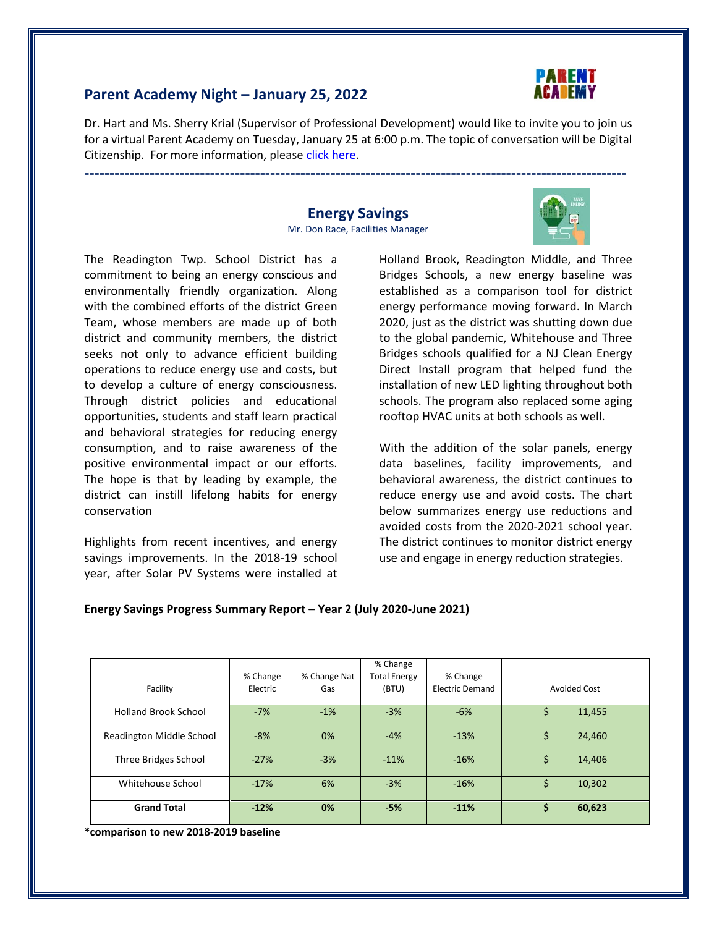

## **Parent Academy Night – January 25, 2022**

Dr. Hart and Ms. Sherry Krial (Supervisor of Professional Development) would like to invite you to join us for a virtual Parent Academy on Tuesday, January 25 at 6:00 p.m. The topic of conversation will be Digital Citizenship. For more information, please [click here.](https://www.readington.k12.nj.us/cms/lib/NJ01000244/Centricity/Domain/26/Parent%20Academy%20Flyer%201-25-2022.pdf)

**------------------------------------------------------------------------------------------------------------**

#### **Energy Savings** Mr. Don Race, Facilities Manager

The Readington Twp. School District has a commitment to being an energy conscious and environmentally friendly organization. Along with the combined efforts of the district Green Team, whose members are made up of both district and community members, the district seeks not only to advance efficient building operations to reduce energy use and costs, but to develop a culture of energy consciousness. Through district policies and educational opportunities, students and staff learn practical and behavioral strategies for reducing energy consumption, and to raise awareness of the positive environmental impact or our efforts. The hope is that by leading by example, the district can instill lifelong habits for energy conservation

Highlights from recent incentives, and energy savings improvements. In the 2018-19 school year, after Solar PV Systems were installed at Holland Brook, Readington Middle, and Three Bridges Schools, a new energy baseline was established as a comparison tool for district energy performance moving forward. In March 2020, just as the district was shutting down due to the global pandemic, Whitehouse and Three Bridges schools qualified for a NJ Clean Energy Direct Install program that helped fund the installation of new LED lighting throughout both schools. The program also replaced some aging rooftop HVAC units at both schools as well.

With the addition of the solar panels, energy data baselines, facility improvements, and behavioral awareness, the district continues to reduce energy use and avoid costs. The chart below summarizes energy use reductions and avoided costs from the 2020-2021 school year. The district continues to monitor district energy use and engage in energy reduction strategies.

#### **Energy Savings Progress Summary Report – Year 2 (July 2020-June 2021)**

| Facility                        | % Change<br>Electric | % Change Nat<br>Gas | % Change<br><b>Total Energy</b><br>(BTU) | % Change<br><b>Electric Demand</b> | Avoided Cost |
|---------------------------------|----------------------|---------------------|------------------------------------------|------------------------------------|--------------|
| <b>Holland Brook School</b>     | $-7%$                | $-1%$               | $-3%$                                    | $-6%$                              | 11,455       |
| <b>Readington Middle School</b> | $-8%$                | 0%                  | $-4%$                                    | $-13%$                             | 24,460<br>S  |
| Three Bridges School            | $-27%$               | $-3%$               | $-11%$                                   | $-16%$                             | 14,406       |
| Whitehouse School               | $-17%$               | 6%                  | $-3%$                                    | $-16%$                             | 10,302       |
| <b>Grand Total</b>              | $-12%$               | 0%                  | $-5%$                                    | $-11%$                             | 60,623<br>S  |

**\*comparison to new 2018-2019 baseline**

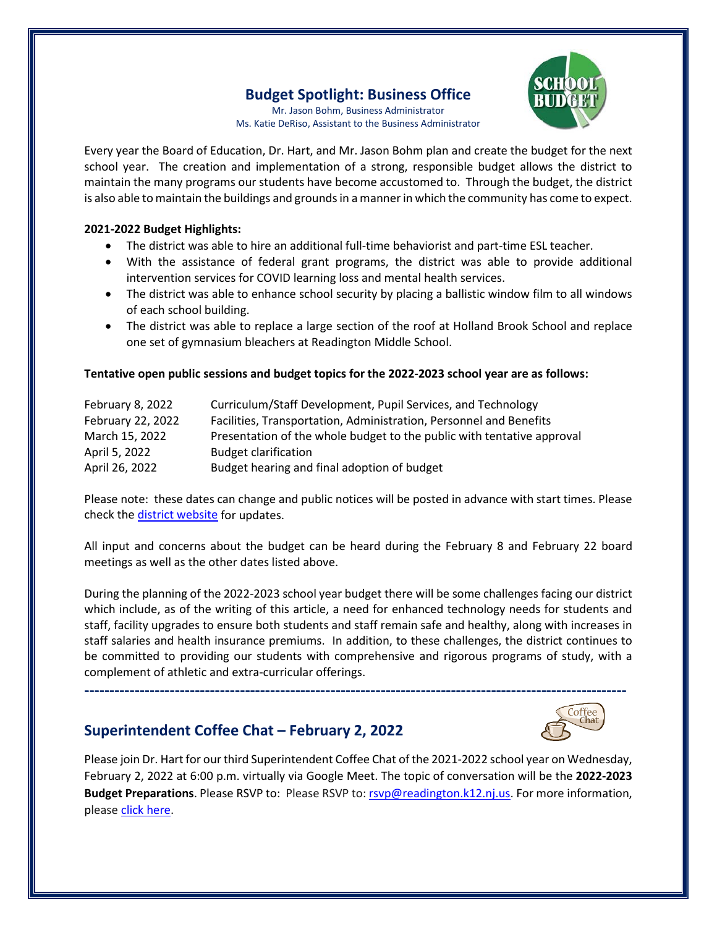## **Budget Spotlight: Business Office**

Mr. Jason Bohm, Business Administrator Ms. Katie DeRiso, Assistant to the Business Administrator



Every year the Board of Education, Dr. Hart, and Mr. Jason Bohm plan and create the budget for the next school year. The creation and implementation of a strong, responsible budget allows the district to maintain the many programs our students have become accustomed to. Through the budget, the district is also able to maintain the buildings and grounds in a manner in which the community has come to expect.

#### **2021-2022 Budget Highlights:**

- The district was able to hire an additional full-time behaviorist and part-time ESL teacher.
- With the assistance of federal grant programs, the district was able to provide additional intervention services for COVID learning loss and mental health services.
- The district was able to enhance school security by placing a ballistic window film to all windows of each school building.
- The district was able to replace a large section of the roof at Holland Brook School and replace one set of gymnasium bleachers at Readington Middle School.

#### **Tentative open public sessions and budget topics for the 2022-2023 school year are as follows:**

| February 8, 2022  | Curriculum/Staff Development, Pupil Services, and Technology           |
|-------------------|------------------------------------------------------------------------|
| February 22, 2022 | Facilities, Transportation, Administration, Personnel and Benefits     |
| March 15, 2022    | Presentation of the whole budget to the public with tentative approval |
| April 5, 2022     | <b>Budget clarification</b>                                            |
| April 26, 2022    | Budget hearing and final adoption of budget                            |

Please note: these dates can change and public notices will be posted in advance with start times. Please check th[e district website](https://www.readington.k12.nj.us/) for updates.

All input and concerns about the budget can be heard during the February 8 and February 22 board meetings as well as the other dates listed above.

During the planning of the 2022-2023 school year budget there will be some challenges facing our district which include, as of the writing of this article, a need for enhanced technology needs for students and staff, facility upgrades to ensure both students and staff remain safe and healthy, along with increases in staff salaries and health insurance premiums. In addition, to these challenges, the district continues to be committed to providing our students with comprehensive and rigorous programs of study, with a complement of athletic and extra-curricular offerings.

## **Superintendent Coffee Chat – February 2, 2022**



Please join Dr. Hart for our third Superintendent Coffee Chat of the 2021-2022 school year on Wednesday, February 2, 2022 at 6:00 p.m. virtually via Google Meet. The topic of conversation will be the **2022-2023 Budget Preparations**. Please RSVP to: Please RSVP to: [rsvp@readington.k12.nj.us.](mailto:rsvp@readington.k12.nj.us) For more information, please [click here.](https://www.readington.k12.nj.us/cms/lib/NJ01000244/Centricity/Domain/46/Chat%20Invite%20-%20Feb%202022.pdf)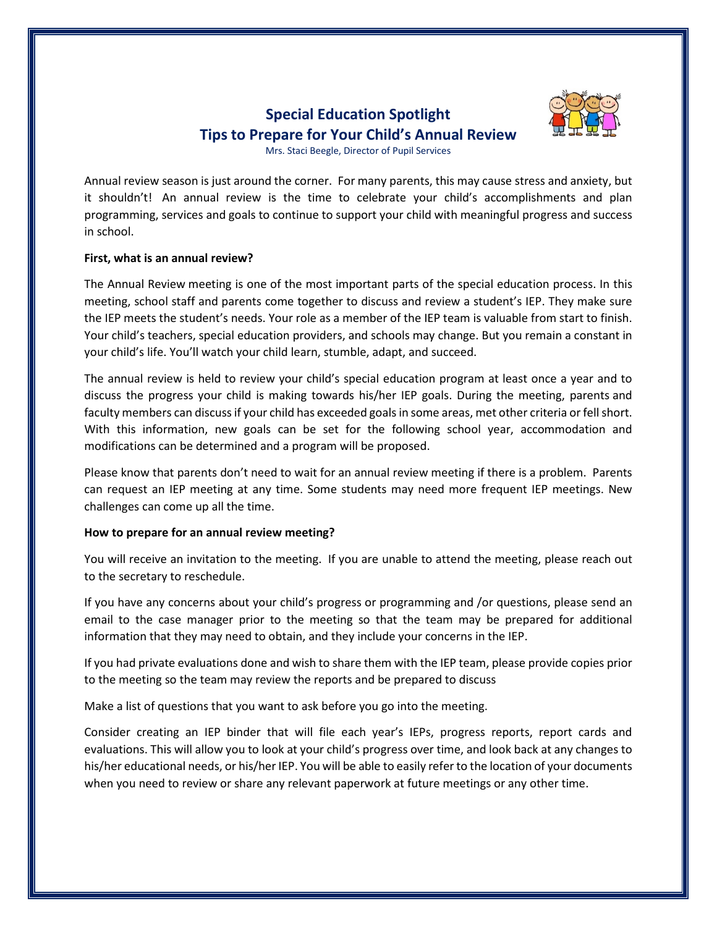## **Special Education Spotlight Tips to Prepare for Your Child's Annual Review**



Mrs. Staci Beegle, Director of Pupil Services

Annual review season is just around the corner. For many parents, this may cause stress and anxiety, but it shouldn't! An annual review is the time to celebrate your child's accomplishments and plan programming, services and goals to continue to support your child with meaningful progress and success in school.

#### **First, what is an annual review?**

The Annual Review meeting is one of the most important parts of the special education process. In this meeting, school staff and parents come together to discuss and review a student's IEP. They make sure the IEP meets the student's needs. Your role as a member of the IEP team is valuable from start to finish. Your child's teachers, special education providers, and schools may change. But you remain a constant in your child's life. You'll watch your child learn, stumble, adapt, and succeed.

The annual review is held to review your child's special education program at least once a year and to discuss the progress your child is making towards his/her IEP goals. During the meeting, parents and faculty members can discuss if your child has exceeded goals in some areas, met other criteria or fell short. With this information, new goals can be set for the following school year, accommodation and modifications can be determined and a program will be proposed.

Please know that parents don't need to wait for an annual review meeting if there is a problem. Parents can request an IEP meeting at any time. Some students may need more frequent IEP meetings. New challenges can come up all the time.

#### **How to prepare for an annual review meeting?**

You will receive an invitation to the meeting. If you are unable to attend the meeting, please reach out to the secretary to reschedule.

If you have any concerns about your child's progress or programming and /or questions, please send an email to the case manager prior to the meeting so that the team may be prepared for additional information that they may need to obtain, and they include your concerns in the IEP.

If you had private evaluations done and wish to share them with the IEP team, please provide copies prior to the meeting so the team may review the reports and be prepared to discuss

Make a list of questions that you want to ask before you go into the meeting.

Consider creating an IEP binder that will file each year's IEPs, progress reports, report cards and evaluations. This will allow you to look at your child's progress over time, and look back at any changes to his/her educational needs, or his/her IEP. You will be able to easily refer to the location of your documents when you need to review or share any relevant paperwork at future meetings or any other time.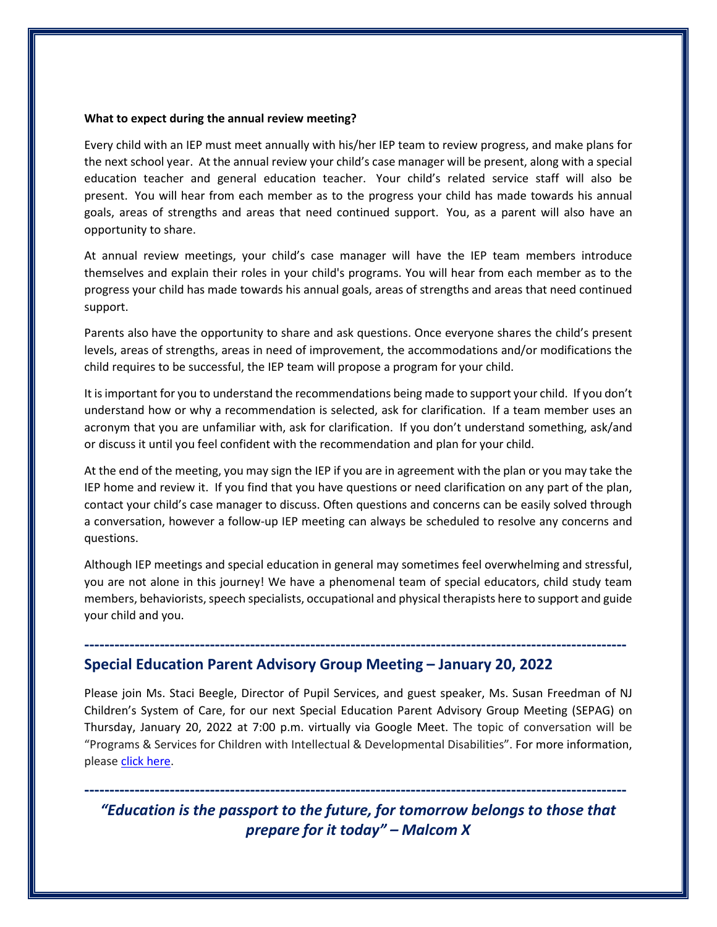#### **What to expect during the annual review meeting?**

Every child with an IEP must meet annually with his/her IEP team to review progress, and make plans for the next school year. At the annual review your child's case manager will be present, along with a special education teacher and general education teacher. Your child's related service staff will also be present. You will hear from each member as to the progress your child has made towards his annual goals, areas of strengths and areas that need continued support. You, as a parent will also have an opportunity to share.

At annual review meetings, your child's case manager will have the IEP team members introduce themselves and explain their roles in your child's programs. You will hear from each member as to the progress your child has made towards his annual goals, areas of strengths and areas that need continued support.

Parents also have the opportunity to share and ask questions. Once everyone shares the child's present levels, areas of strengths, areas in need of improvement, the accommodations and/or modifications the child requires to be successful, the IEP team will propose a program for your child.

It is important for you to understand the recommendations being made to support your child. If you don't understand how or why a recommendation is selected, ask for clarification. If a team member uses an acronym that you are unfamiliar with, ask for clarification. If you don't understand something, ask/and or discuss it until you feel confident with the recommendation and plan for your child.

At the end of the meeting, you may sign the IEP if you are in agreement with the plan or you may take the IEP home and review it. If you find that you have questions or need clarification on any part of the plan, contact your child's case manager to discuss. Often questions and concerns can be easily solved through a conversation, however a follow-up IEP meeting can always be scheduled to resolve any concerns and questions.

Although IEP meetings and special education in general may sometimes feel overwhelming and stressful, you are not alone in this journey! We have a phenomenal team of special educators, child study team members, behaviorists, speech specialists, occupational and physical therapists here to support and guide your child and you.

**------------------------------------------------------------------------------------------------------------**

### **Special Education Parent Advisory Group Meeting – January 20, 2022**

Please join Ms. Staci Beegle, Director of Pupil Services, and guest speaker, Ms. Susan Freedman of NJ Children's System of Care, for our next Special Education Parent Advisory Group Meeting (SEPAG) on Thursday, January 20, 2022 at 7:00 p.m. virtually via Google Meet. The topic of conversation will be "Programs & Services for Children with Intellectual & Developmental Disabilities". For more information, please [click here.](https://www.readington.k12.nj.us/Page/267)

*"Education is the passport to the future, for tomorrow belongs to those that prepare for it today" – Malcom X*

**------------------------------------------------------------------------------------------------------------**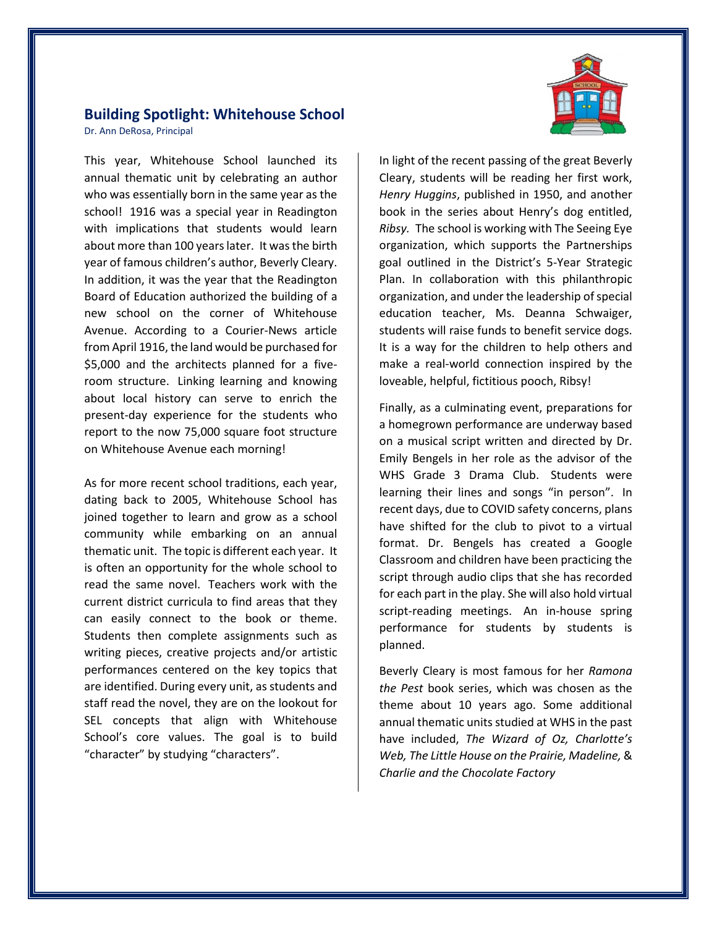## **Building Spotlight: Whitehouse School**

Dr. Ann DeRosa, Principal

This year, Whitehouse School launched its annual thematic unit by celebrating an author who was essentially born in the same year as the school! 1916 was a special year in Readington with implications that students would learn about more than 100 years later. It was the birth year of famous children's author, Beverly Cleary. In addition, it was the year that the Readington Board of Education authorized the building of a new school on the corner of Whitehouse Avenue. According to a Courier-News article from April 1916, the land would be purchased for \$5,000 and the architects planned for a fiveroom structure. Linking learning and knowing about local history can serve to enrich the present-day experience for the students who report to the now 75,000 square foot structure on Whitehouse Avenue each morning!

As for more recent school traditions, each year, dating back to 2005, Whitehouse School has joined together to learn and grow as a school community while embarking on an annual thematic unit. The topic is different each year. It is often an opportunity for the whole school to read the same novel. Teachers work with the current district curricula to find areas that they can easily connect to the book or theme. Students then complete assignments such as writing pieces, creative projects and/or artistic performances centered on the key topics that are identified. During every unit, as students and staff read the novel, they are on the lookout for SEL concepts that align with Whitehouse School's core values. The goal is to build "character" by studying "characters".



In light of the recent passing of the great Beverly Cleary, students will be reading her first work, *Henry Huggins*, published in 1950, and another book in the series about Henry's dog entitled, *Ribsy.* The school is working with The Seeing Eye organization, which supports the Partnerships goal outlined in the District's 5-Year Strategic Plan. In collaboration with this philanthropic organization, and under the leadership of special education teacher, Ms. Deanna Schwaiger, students will raise funds to benefit service dogs. It is a way for the children to help others and make a real-world connection inspired by the loveable, helpful, fictitious pooch, Ribsy!

Finally, as a culminating event, preparations for a homegrown performance are underway based on a musical script written and directed by Dr. Emily Bengels in her role as the advisor of the WHS Grade 3 Drama Club. Students were learning their lines and songs "in person". In recent days, due to COVID safety concerns, plans have shifted for the club to pivot to a virtual format. Dr. Bengels has created a Google Classroom and children have been practicing the script through audio clips that she has recorded for each part in the play. She will also hold virtual script-reading meetings. An in-house spring performance for students by students is planned.

Beverly Cleary is most famous for her *Ramona the Pest* book series, which was chosen as the theme about 10 years ago. Some additional annual thematic units studied at WHS in the past have included, *The Wizard of Oz, Charlotte's Web, The Little House on the Prairie, Madeline,* & *Charlie and the Chocolate Factory*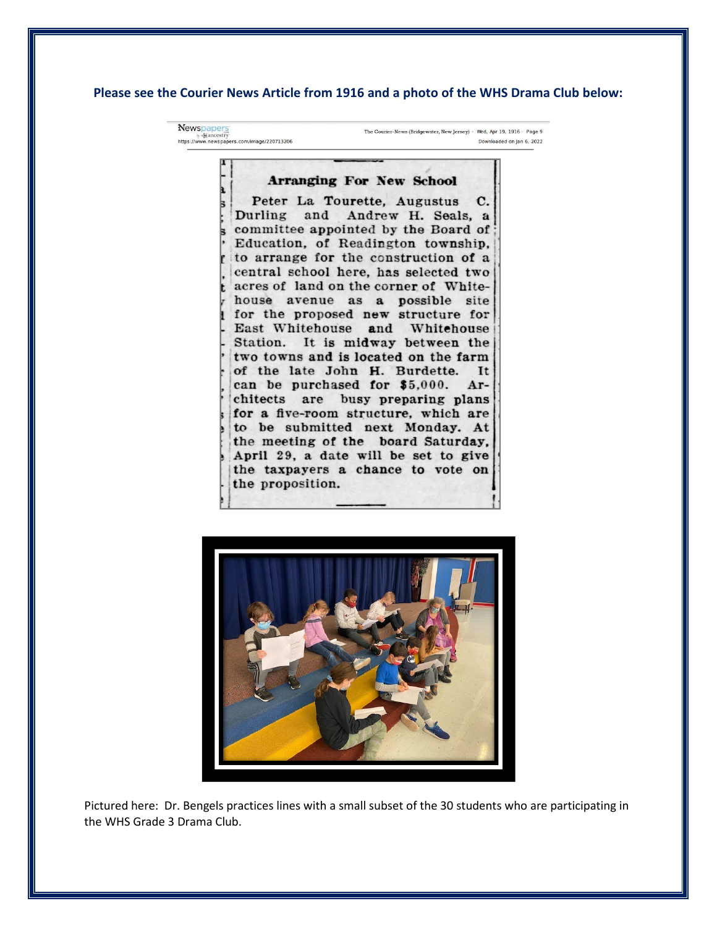#### **Please see the Courier News Article from 1916 and a photo of the WHS Drama Club below:**

Newspaper The Courier-News (Bridgewater, New Jersey) · Wed, Apr 19, 1916 · Page 9 by Mancestry<br>https://www.newspapers.com/image/220713206 Downloaded on lan 6, 2022

#### **Arranging For New School**

Peter La Tourette, Augustus C. Andrew H. Seals, a Durling and committee appointed by the Board of Education, of Readington township, to arrange for the construction of a central school here, has selected two acres of land on the corner of Whitehouse avenue as a possible site for the proposed new structure for East Whitehouse and Whitehouse Station. It is midway between the two towns and is located on the farm of the late John H. Burdette. It can be purchased for \$5,000. Architects are busy preparing plans for a five-room structure, which are to be submitted next Monday. At the meeting of the board Saturday, April 29, a date will be set to give the taxpayers a chance to vote on the proposition.



Pictured here: Dr. Bengels practices lines with a small subset of the 30 students who are participating in the WHS Grade 3 Drama Club.